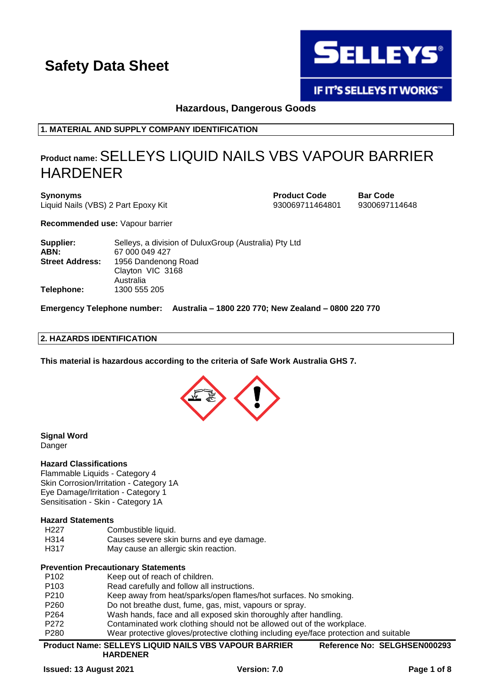

**IF IT'S SELLEYS IT WORKS"** 

**Hazardous, Dangerous Goods**

**1. MATERIAL AND SUPPLY COMPANY IDENTIFICATION**

# **Product name:**SELLEYS LIQUID NAILS VBS VAPOUR BARRIER HARDENER

**Synonyms Product Code Bar Code** Liquid Nails (VBS) 2 Part Epoxy Kit 930069711464801 9300697114648

**Recommended use:** Vapour barrier

| Supplier:              | Selleys, a division of DuluxGroup (Australia) Pty Ltd |
|------------------------|-------------------------------------------------------|
| ABN:                   | 67 000 049 427                                        |
| <b>Street Address:</b> | 1956 Dandenong Road                                   |
|                        | Clayton VIC 3168                                      |
|                        | Australia                                             |
| Telephone:             | 1300 555 205                                          |

**Emergency Telephone number: Australia – 1800 220 770; New Zealand – 0800 220 770**

# **2. HAZARDS IDENTIFICATION**

**This material is hazardous according to the criteria of Safe Work Australia GHS 7.**



**Signal Word** Danger

### **Hazard Classifications**

Flammable Liquids - Category 4 Skin Corrosion/Irritation - Category 1A Eye Damage/Irritation - Category 1 Sensitisation - Skin - Category 1A

### **Hazard Statements**

- H227 Combustible liquid.
- H314 Causes severe skin burns and eye damage.
- H317 May cause an allergic skin reaction.

# **Prevention Precautionary Statements**

| P280             | Wear protective gloves/protective clothing including eye/face protection and suitable |
|------------------|---------------------------------------------------------------------------------------|
| P <sub>272</sub> | Contaminated work clothing should not be allowed out of the workplace.                |
| P <sub>264</sub> | Wash hands, face and all exposed skin thoroughly after handling.                      |
| P <sub>260</sub> | Do not breathe dust, fume, gas, mist, vapours or spray.                               |
| P <sub>210</sub> | Keep away from heat/sparks/open flames/hot surfaces. No smoking.                      |
| P <sub>103</sub> | Read carefully and follow all instructions.                                           |
| P <sub>102</sub> | Keep out of reach of children.                                                        |
|                  |                                                                                       |

**Product Name: SELLEYS LIQUID NAILS VBS VAPOUR BARRIER HARDENER Reference No: SELGHSEN000293**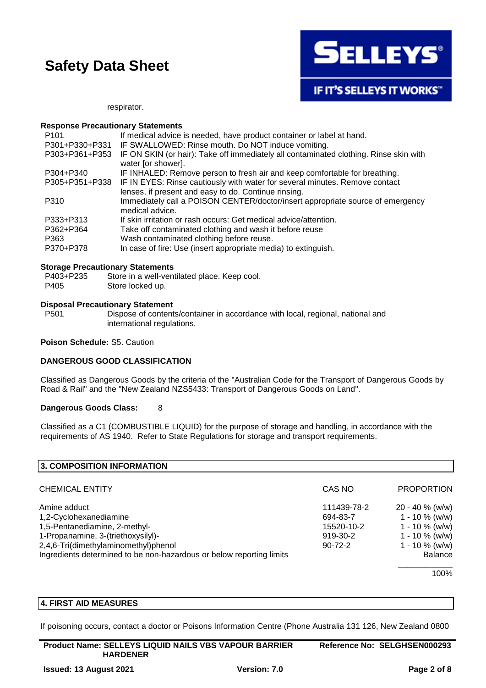

IF IT'S SELLEYS IT WORKS"

respirator.

#### **Response Precautionary Statements**

| P <sub>101</sub> | If medical advice is needed, have product container or label at hand.                                                               |
|------------------|-------------------------------------------------------------------------------------------------------------------------------------|
| P301+P330+P331   | IF SWALLOWED: Rinse mouth. Do NOT induce vomiting.                                                                                  |
| P303+P361+P353   | IF ON SKIN (or hair): Take off immediately all contaminated clothing. Rinse skin with<br>water [or shower].                         |
| P304+P340        | IF INHALED: Remove person to fresh air and keep comfortable for breathing.                                                          |
| P305+P351+P338   | IF IN EYES: Rinse cautiously with water for several minutes. Remove contact<br>lenses, if present and easy to do. Continue rinsing. |
| P310             | Immediately call a POISON CENTER/doctor/insert appropriate source of emergency<br>medical advice.                                   |
| P333+P313        | If skin irritation or rash occurs: Get medical advice/attention.                                                                    |
| P362+P364        | Take off contaminated clothing and wash it before reuse                                                                             |
| P363             | Wash contaminated clothing before reuse.                                                                                            |
| P370+P378        | In case of fire: Use (insert appropriate media) to extinguish.                                                                      |

### **Storage Precautionary Statements**

| P403+P235 | Store in a well-ventilated place. Keep cool. |
|-----------|----------------------------------------------|
| P405      | Store locked up.                             |

### **Disposal Precautionary Statement**

P501 Dispose of contents/container in accordance with local, regional, national and international regulations.

#### **Poison Schedule:** S5. Caution

# **DANGEROUS GOOD CLASSIFICATION**

Classified as Dangerous Goods by the criteria of the "Australian Code for the Transport of Dangerous Goods by Road & Rail" and the "New Zealand NZS5433: Transport of Dangerous Goods on Land".

### **Dangerous Goods Class:** 8

Classified as a C1 (COMBUSTIBLE LIQUID) for the purpose of storage and handling, in accordance with the requirements of AS 1940. Refer to State Regulations for storage and transport requirements.

| 3. COMPOSITION INFORMATION                                           |               |                    |
|----------------------------------------------------------------------|---------------|--------------------|
|                                                                      |               |                    |
| <b>CHEMICAL ENTITY</b>                                               | CAS NO        | <b>PROPORTION</b>  |
| Amine adduct                                                         | 111439-78-2   | $20 - 40 \%$ (w/w) |
| 1,2-Cyclohexanediamine                                               | 694-83-7      | $1 - 10 \%$ (w/w)  |
| 1,5-Pentanediamine, 2-methyl-                                        | 15520-10-2    | $1 - 10 \%$ (w/w)  |
| 1-Propanamine, 3-(triethoxysilyl)-                                   | 919-30-2      | $1 - 10 \%$ (w/w)  |
| 2,4,6-Tri(dimethylaminomethyl)phenol                                 | $90 - 72 - 2$ | $1 - 10 \%$ (w/w)  |
| Ingredients determined to be non-hazardous or below reporting limits |               | <b>Balance</b>     |
|                                                                      |               |                    |

100%

# **4. FIRST AID MEASURES**

If poisoning occurs, contact a doctor or Poisons Information Centre (Phone Australia 131 126, New Zealand 0800

| <b>Product Name: SELLEYS LIQUID NAILS VBS VAPOUR BARRIER</b> | Reference No: SELGHSEN000293 |
|--------------------------------------------------------------|------------------------------|
| <b>HARDENER</b>                                              |                              |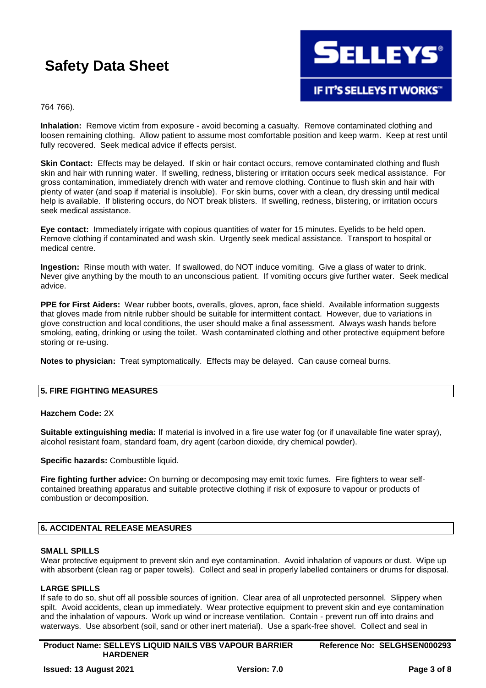

764 766).

**Inhalation:** Remove victim from exposure - avoid becoming a casualty. Remove contaminated clothing and loosen remaining clothing. Allow patient to assume most comfortable position and keep warm. Keep at rest until fully recovered. Seek medical advice if effects persist.

**Skin Contact:** Effects may be delayed. If skin or hair contact occurs, remove contaminated clothing and flush skin and hair with running water. If swelling, redness, blistering or irritation occurs seek medical assistance. For gross contamination, immediately drench with water and remove clothing. Continue to flush skin and hair with plenty of water (and soap if material is insoluble). For skin burns, cover with a clean, dry dressing until medical help is available. If blistering occurs, do NOT break blisters. If swelling, redness, blistering, or irritation occurs seek medical assistance.

**Eye contact:** Immediately irrigate with copious quantities of water for 15 minutes. Eyelids to be held open. Remove clothing if contaminated and wash skin. Urgently seek medical assistance. Transport to hospital or medical centre.

**Ingestion:** Rinse mouth with water. If swallowed, do NOT induce vomiting. Give a glass of water to drink. Never give anything by the mouth to an unconscious patient. If vomiting occurs give further water. Seek medical advice.

**PPE for First Aiders:** Wear rubber boots, overalls, gloves, apron, face shield. Available information suggests that gloves made from nitrile rubber should be suitable for intermittent contact. However, due to variations in glove construction and local conditions, the user should make a final assessment. Always wash hands before smoking, eating, drinking or using the toilet. Wash contaminated clothing and other protective equipment before storing or re-using.

**Notes to physician:** Treat symptomatically. Effects may be delayed. Can cause corneal burns.

# **5. FIRE FIGHTING MEASURES**

### **Hazchem Code:** 2X

**Suitable extinguishing media:** If material is involved in a fire use water fog (or if unavailable fine water spray), alcohol resistant foam, standard foam, dry agent (carbon dioxide, dry chemical powder).

**Specific hazards:** Combustible liquid.

**Fire fighting further advice:** On burning or decomposing may emit toxic fumes. Fire fighters to wear selfcontained breathing apparatus and suitable protective clothing if risk of exposure to vapour or products of combustion or decomposition.

# **6. ACCIDENTAL RELEASE MEASURES**

### **SMALL SPILLS**

Wear protective equipment to prevent skin and eve contamination. Avoid inhalation of vapours or dust. Wipe up with absorbent (clean rag or paper towels). Collect and seal in properly labelled containers or drums for disposal.

# **LARGE SPILLS**

If safe to do so, shut off all possible sources of ignition. Clear area of all unprotected personnel. Slippery when spilt. Avoid accidents, clean up immediately. Wear protective equipment to prevent skin and eye contamination and the inhalation of vapours. Work up wind or increase ventilation. Contain - prevent run off into drains and waterways. Use absorbent (soil, sand or other inert material). Use a spark-free shovel. Collect and seal in

**Product Name: SELLEYS LIQUID NAILS VBS VAPOUR BARRIER HARDENER Reference No: SELGHSEN000293**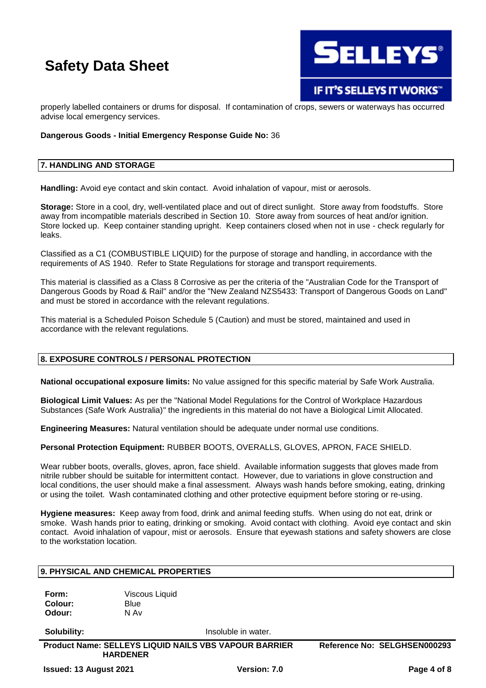

properly labelled containers or drums for disposal. If contamination of crops, sewers or waterways has occurred advise local emergency services.

## **Dangerous Goods - Initial Emergency Response Guide No:** 36

# **7. HANDLING AND STORAGE**

**Handling:** Avoid eye contact and skin contact. Avoid inhalation of vapour, mist or aerosols.

**Storage:** Store in a cool, dry, well-ventilated place and out of direct sunlight. Store away from foodstuffs. Store away from incompatible materials described in Section 10. Store away from sources of heat and/or ignition. Store locked up. Keep container standing upright. Keep containers closed when not in use - check regularly for leaks.

Classified as a C1 (COMBUSTIBLE LIQUID) for the purpose of storage and handling, in accordance with the requirements of AS 1940. Refer to State Regulations for storage and transport requirements.

This material is classified as a Class 8 Corrosive as per the criteria of the "Australian Code for the Transport of Dangerous Goods by Road & Rail" and/or the "New Zealand NZS5433: Transport of Dangerous Goods on Land" and must be stored in accordance with the relevant regulations.

This material is a Scheduled Poison Schedule 5 (Caution) and must be stored, maintained and used in accordance with the relevant regulations.

### **8. EXPOSURE CONTROLS / PERSONAL PROTECTION**

**National occupational exposure limits:** No value assigned for this specific material by Safe Work Australia.

**Biological Limit Values:** As per the "National Model Regulations for the Control of Workplace Hazardous Substances (Safe Work Australia)" the ingredients in this material do not have a Biological Limit Allocated.

**Engineering Measures:** Natural ventilation should be adequate under normal use conditions.

**Personal Protection Equipment:** RUBBER BOOTS, OVERALLS, GLOVES, APRON, FACE SHIELD.

Wear rubber boots, overalls, gloves, apron, face shield. Available information suggests that gloves made from nitrile rubber should be suitable for intermittent contact. However, due to variations in glove construction and local conditions, the user should make a final assessment. Always wash hands before smoking, eating, drinking or using the toilet. Wash contaminated clothing and other protective equipment before storing or re-using.

**Hygiene measures:** Keep away from food, drink and animal feeding stuffs. When using do not eat, drink or smoke. Wash hands prior to eating, drinking or smoking. Avoid contact with clothing. Avoid eye contact and skin contact. Avoid inhalation of vapour, mist or aerosols. Ensure that eyewash stations and safety showers are close to the workstation location.

# **9. PHYSICAL AND CHEMICAL PROPERTIES**

**Form:** Viscous Liquid **Colour:** Blue **Odour:** N Av

**Solubility:** Insoluble in water.

**Product Name: SELLEYS LIQUID NAILS VBS VAPOUR BARRIER HARDENER Reference No: SELGHSEN000293**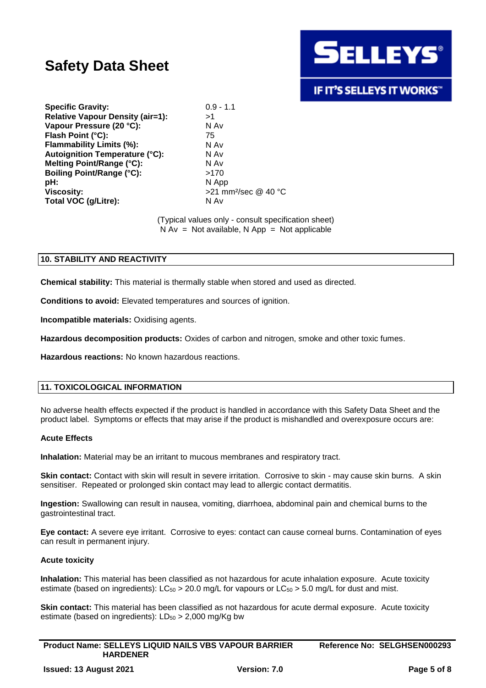

# **IF IT'S SELLEYS IT WORKS"**

**Specific Gravity:** 0.9 - 1.1 **Relative Vapour Density (air=1):** >1 **Vapour Pressure (20 °C):** N Av **Flash Point (°C):** 75 **Flammability Limits (%):** N Av **Autoignition Temperature (°C):** N Av **Melting Point/Range (°C):** N Av **Boiling Point/Range (°C):** >170 **pH:** N App **Viscosity:**  $>21$  mm<sup>2</sup>/sec @ 40 °C **Total VOC (g/Litre):** N Av

(Typical values only - consult specification sheet)  $N Av = Not available, N App = Not applicable$ 

# **10. STABILITY AND REACTIVITY**

**Chemical stability:** This material is thermally stable when stored and used as directed.

**Conditions to avoid:** Elevated temperatures and sources of ignition.

**Incompatible materials:** Oxidising agents.

**Hazardous decomposition products:** Oxides of carbon and nitrogen, smoke and other toxic fumes.

**Hazardous reactions:** No known hazardous reactions.

### **11. TOXICOLOGICAL INFORMATION**

No adverse health effects expected if the product is handled in accordance with this Safety Data Sheet and the product label. Symptoms or effects that may arise if the product is mishandled and overexposure occurs are:

#### **Acute Effects**

**Inhalation:** Material may be an irritant to mucous membranes and respiratory tract.

**Skin contact:** Contact with skin will result in severe irritation. Corrosive to skin - may cause skin burns. A skin sensitiser. Repeated or prolonged skin contact may lead to allergic contact dermatitis.

**Ingestion:** Swallowing can result in nausea, vomiting, diarrhoea, abdominal pain and chemical burns to the gastrointestinal tract.

**Eye contact:** A severe eye irritant. Corrosive to eyes: contact can cause corneal burns. Contamination of eyes can result in permanent injury.

### **Acute toxicity**

**Inhalation:** This material has been classified as not hazardous for acute inhalation exposure. Acute toxicity estimate (based on ingredients):  $LC_{50} > 20.0$  mg/L for vapours or  $LC_{50} > 5.0$  mg/L for dust and mist.

**Skin contact:** This material has been classified as not hazardous for acute dermal exposure. Acute toxicity estimate (based on ingredients):  $LD_{50} > 2,000$  mg/Kg bw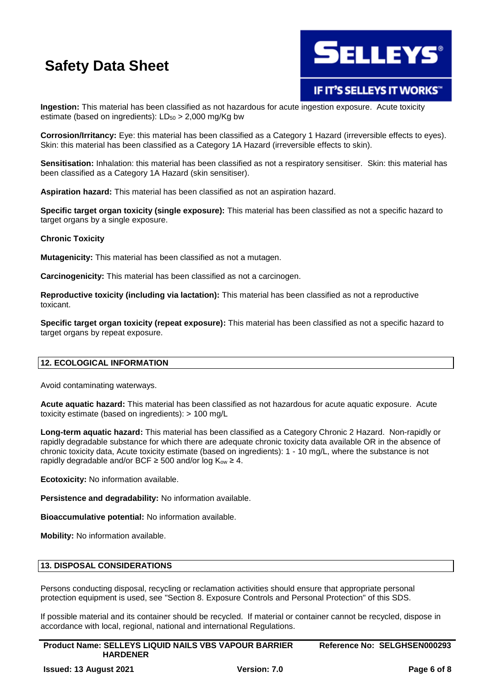

# **IF IT'S SELLEYS IT WORKS"**

**Ingestion:** This material has been classified as not hazardous for acute ingestion exposure. Acute toxicity estimate (based on ingredients):  $LD_{50} > 2,000$  mg/Kg bw

**Corrosion/Irritancy:** Eye: this material has been classified as a Category 1 Hazard (irreversible effects to eyes). Skin: this material has been classified as a Category 1A Hazard (irreversible effects to skin).

**Sensitisation:** Inhalation: this material has been classified as not a respiratory sensitiser. Skin: this material has been classified as a Category 1A Hazard (skin sensitiser).

**Aspiration hazard:** This material has been classified as not an aspiration hazard.

**Specific target organ toxicity (single exposure):** This material has been classified as not a specific hazard to target organs by a single exposure.

# **Chronic Toxicity**

**Mutagenicity:** This material has been classified as not a mutagen.

**Carcinogenicity:** This material has been classified as not a carcinogen.

**Reproductive toxicity (including via lactation):** This material has been classified as not a reproductive toxicant.

**Specific target organ toxicity (repeat exposure):** This material has been classified as not a specific hazard to target organs by repeat exposure.

# **12. ECOLOGICAL INFORMATION**

Avoid contaminating waterways.

**Acute aquatic hazard:** This material has been classified as not hazardous for acute aquatic exposure. Acute toxicity estimate (based on ingredients): > 100 mg/L

**Long-term aquatic hazard:** This material has been classified as a Category Chronic 2 Hazard. Non-rapidly or rapidly degradable substance for which there are adequate chronic toxicity data available OR in the absence of chronic toxicity data, Acute toxicity estimate (based on ingredients): 1 - 10 mg/L, where the substance is not rapidly degradable and/or BCF  $\geq$  500 and/or log K<sub>ow</sub>  $\geq$  4.

**Ecotoxicity:** No information available.

**Persistence and degradability:** No information available.

**Bioaccumulative potential:** No information available.

**Mobility:** No information available.

## **13. DISPOSAL CONSIDERATIONS**

Persons conducting disposal, recycling or reclamation activities should ensure that appropriate personal protection equipment is used, see "Section 8. Exposure Controls and Personal Protection" of this SDS.

If possible material and its container should be recycled. If material or container cannot be recycled, dispose in accordance with local, regional, national and international Regulations.

**Product Name: SELLEYS LIQUID NAILS VBS VAPOUR BARRIER HARDENER Reference No: SELGHSEN000293**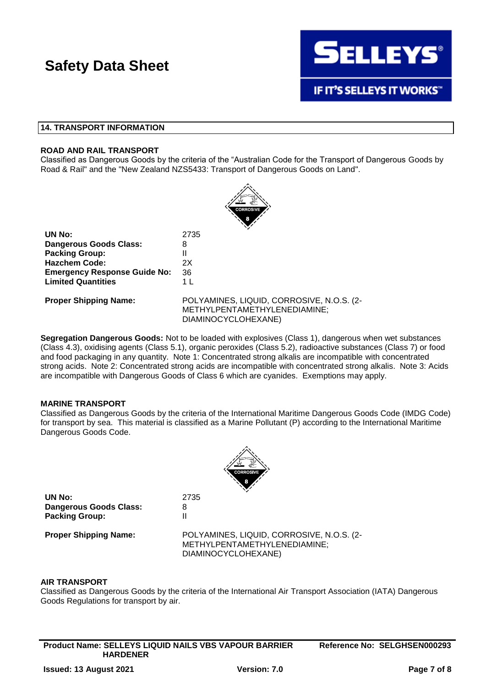

# **14. TRANSPORT INFORMATION**

## **ROAD AND RAIL TRANSPORT**

Classified as Dangerous Goods by the criteria of the "Australian Code for the Transport of Dangerous Goods by Road & Rail" and the "New Zealand NZS5433: Transport of Dangerous Goods on Land".



| UN No:                              | 2735 |
|-------------------------------------|------|
| <b>Dangerous Goods Class:</b>       | 8    |
| <b>Packing Group:</b>               | н    |
| <b>Hazchem Code:</b>                | 2X   |
| <b>Emergency Response Guide No:</b> | 36   |
| <b>Limited Quantities</b>           | 1    |
|                                     |      |

**Proper Shipping Name:** POLYAMINES, LIQUID, CORROSIVE, N.O.S. (2- METHYLPENTAMETHYLENEDIAMINE; DIAMINOCYCLOHEXANE)

**Segregation Dangerous Goods:** Not to be loaded with explosives (Class 1), dangerous when wet substances (Class 4.3), oxidising agents (Class 5.1), organic peroxides (Class 5.2), radioactive substances (Class 7) or food and food packaging in any quantity. Note 1: Concentrated strong alkalis are incompatible with concentrated strong acids. Note 2: Concentrated strong acids are incompatible with concentrated strong alkalis. Note 3: Acids are incompatible with Dangerous Goods of Class 6 which are cyanides. Exemptions may apply.

### **MARINE TRANSPORT**

Classified as Dangerous Goods by the criteria of the International Maritime Dangerous Goods Code (IMDG Code) for transport by sea. This material is classified as a Marine Pollutant (P) according to the International Maritime Dangerous Goods Code.



**UN No:** 2735 **Dangerous Goods Class:** 8 **Packing Group:** II

**Proper Shipping Name:** POLYAMINES, LIQUID, CORROSIVE, N.O.S. (2- METHYLPENTAMETHYLENEDIAMINE; DIAMINOCYCLOHEXANE)

### **AIR TRANSPORT**

Classified as Dangerous Goods by the criteria of the International Air Transport Association (IATA) Dangerous Goods Regulations for transport by air.

**Product Name: SELLEYS LIQUID NAILS VBS VAPOUR BARRIER HARDENER**

**Reference No: SELGHSEN000293**